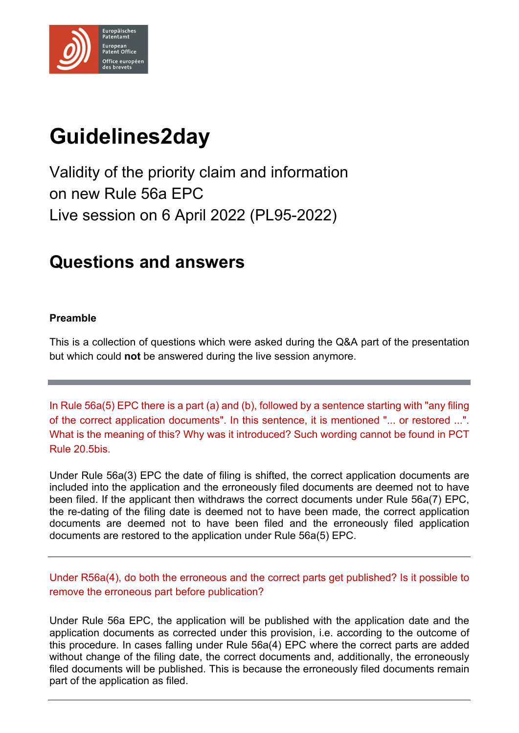

# **Guidelines2day**

Validity of the priority claim and information on new Rule 56a EPC Live session on 6 April 2022 (PL95-2022)

# **Questions and answers**

## **Preamble**

This is a collection of questions which were asked during the Q&A part of the presentation but which could **not** be answered during the live session anymore.

In Rule 56a(5) EPC there is a part (a) and (b), followed by a sentence starting with "any filing of the correct application documents". In this sentence, it is mentioned "... or restored ...". What is the meaning of this? Why was it introduced? Such wording cannot be found in PCT Rule 20.5bis.

Under Rule 56a(3) EPC the date of filing is shifted, the correct application documents are included into the application and the erroneously filed documents are deemed not to have been filed. If the applicant then withdraws the correct documents under Rule 56a(7) EPC, the re-dating of the filing date is deemed not to have been made, the correct application documents are deemed not to have been filed and the erroneously filed application documents are restored to the application under Rule 56a(5) EPC.

Under R56a(4), do both the erroneous and the correct parts get published? Is it possible to remove the erroneous part before publication?

Under Rule 56a EPC, the application will be published with the application date and the application documents as corrected under this provision, i.e. according to the outcome of this procedure. In cases falling under Rule 56a(4) EPC where the correct parts are added without change of the filing date, the correct documents and, additionally, the erroneously filed documents will be published. This is because the erroneously filed documents remain part of the application as filed.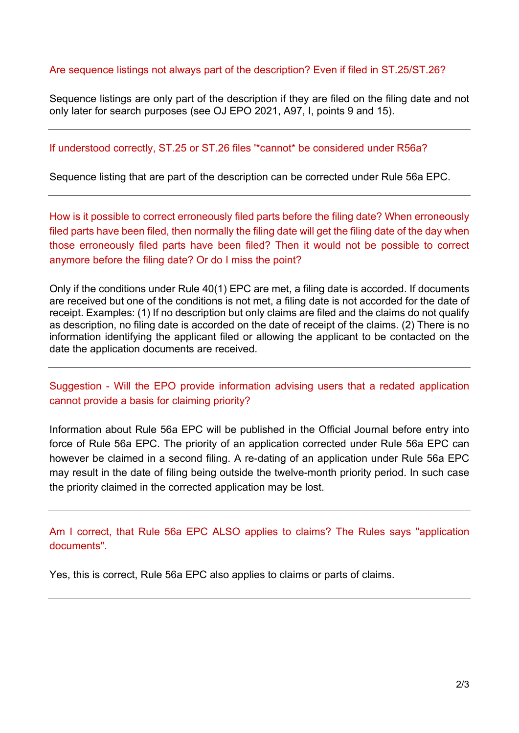#### Are sequence listings not always part of the description? Even if filed in ST.25/ST.26?

Sequence listings are only part of the description if they are filed on the filing date and not only later for search purposes (see OJ EPO 2021, A97, I, points 9 and 15).

#### If understood correctly, ST.25 or ST.26 files '\*cannot\* be considered under R56a?

Sequence listing that are part of the description can be corrected under Rule 56a EPC.

How is it possible to correct erroneously filed parts before the filing date? When erroneously filed parts have been filed, then normally the filing date will get the filing date of the day when those erroneously filed parts have been filed? Then it would not be possible to correct anymore before the filing date? Or do I miss the point?

Only if the conditions under Rule 40(1) EPC are met, a filing date is accorded. If documents are received but one of the conditions is not met, a filing date is not accorded for the date of receipt. Examples: (1) If no description but only claims are filed and the claims do not qualify as description, no filing date is accorded on the date of receipt of the claims. (2) There is no information identifying the applicant filed or allowing the applicant to be contacted on the date the application documents are received.

### Suggestion - Will the EPO provide information advising users that a redated application cannot provide a basis for claiming priority?

Information about Rule 56a EPC will be published in the Official Journal before entry into force of Rule 56a EPC. The priority of an application corrected under Rule 56a EPC can however be claimed in a second filing. A re-dating of an application under Rule 56a EPC may result in the date of filing being outside the twelve-month priority period. In such case the priority claimed in the corrected application may be lost.

Am I correct, that Rule 56a EPC ALSO applies to claims? The Rules says "application documents".

Yes, this is correct, Rule 56a EPC also applies to claims or parts of claims.